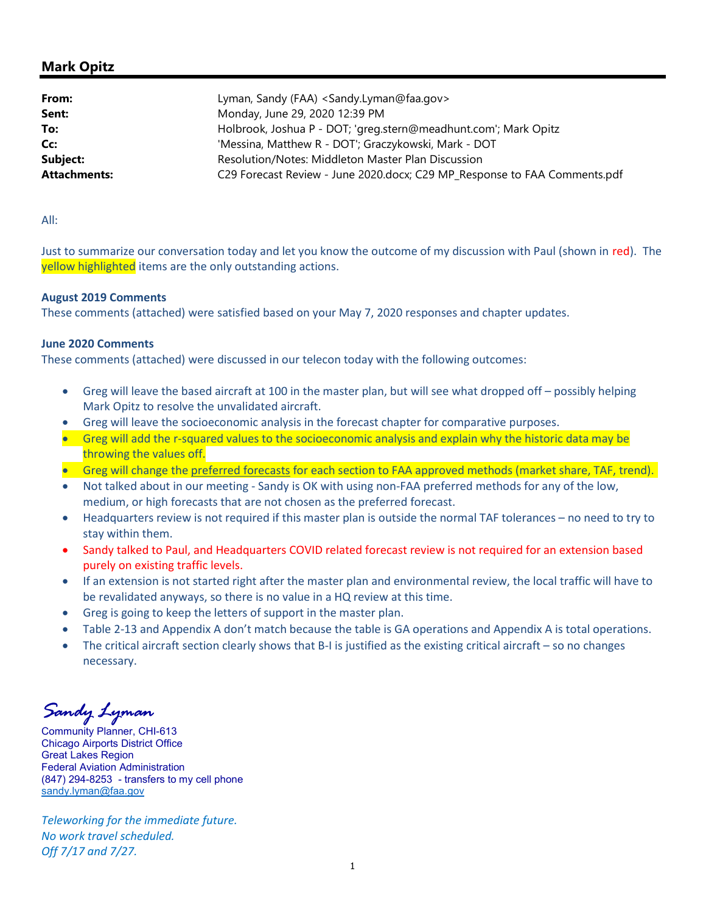## Mark Opitz

| From:               | Lyman, Sandy (FAA) <sandy.lyman@faa.gov></sandy.lyman@faa.gov>            |
|---------------------|---------------------------------------------------------------------------|
| Sent:               | Monday, June 29, 2020 12:39 PM                                            |
| To:                 | Holbrook, Joshua P - DOT; 'greg.stern@meadhunt.com'; Mark Opitz           |
| Cc:                 | 'Messina, Matthew R - DOT'; Graczykowski, Mark - DOT                      |
| Subject:            | Resolution/Notes: Middleton Master Plan Discussion                        |
| <b>Attachments:</b> | C29 Forecast Review - June 2020.docx; C29 MP_Response to FAA Comments.pdf |

All:

Just to summarize our conversation today and let you know the outcome of my discussion with Paul (shown in red). The yellow highlighted items are the only outstanding actions.

## August 2019 Comments

These comments (attached) were satisfied based on your May 7, 2020 responses and chapter updates.

## June 2020 Comments

These comments (attached) were discussed in our telecon today with the following outcomes:

- Greg will leave the based aircraft at 100 in the master plan, but will see what dropped off possibly helping Mark Opitz to resolve the unvalidated aircraft.
- Greg will leave the socioeconomic analysis in the forecast chapter for comparative purposes.
- Greg will add the r-squared values to the socioeconomic analysis and explain why the historic data may be throwing the values off.
- Greg will change the preferred forecasts for each section to FAA approved methods (market share, TAF, trend).
- Not talked about in our meeting Sandy is OK with using non-FAA preferred methods for any of the low, medium, or high forecasts that are not chosen as the preferred forecast.
- Headquarters review is not required if this master plan is outside the normal TAF tolerances no need to try to stay within them.
- Sandy talked to Paul, and Headquarters COVID related forecast review is not required for an extension based purely on existing traffic levels.
- If an extension is not started right after the master plan and environmental review, the local traffic will have to be revalidated anyways, so there is no value in a HQ review at this time.
- Greg is going to keep the letters of support in the master plan.
- Table 2-13 and Appendix A don't match because the table is GA operations and Appendix A is total operations.
- The critical aircraft section clearly shows that B-I is justified as the existing critical aircraft so no changes necessary.

Sandy Lyman

Community Planner, CHI-613 Chicago Airports District Office Great Lakes Region Federal Aviation Administration (847) 294-8253 - transfers to my cell phone sandy.lyman@faa.gov

Teleworking for the immediate future. No work travel scheduled. Off 7/17 and 7/27.